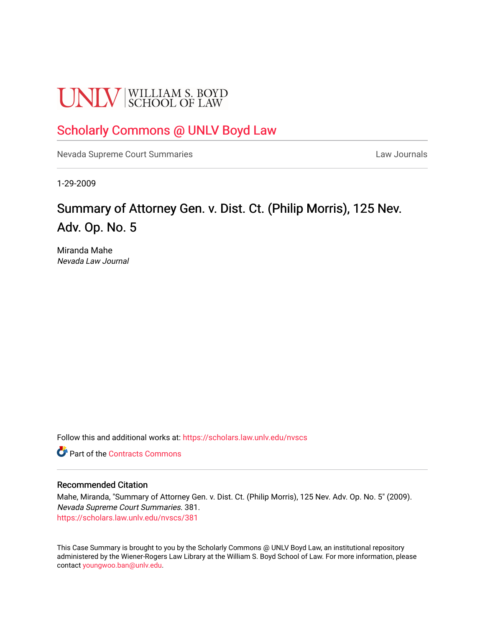# **UNLV** SCHOOL OF LAW

### [Scholarly Commons @ UNLV Boyd Law](https://scholars.law.unlv.edu/)

[Nevada Supreme Court Summaries](https://scholars.law.unlv.edu/nvscs) **Law Journals** Law Journals

1-29-2009

## Summary of Attorney Gen. v. Dist. Ct. (Philip Morris), 125 Nev. Adv. Op. No. 5

Miranda Mahe Nevada Law Journal

Follow this and additional works at: [https://scholars.law.unlv.edu/nvscs](https://scholars.law.unlv.edu/nvscs?utm_source=scholars.law.unlv.edu%2Fnvscs%2F381&utm_medium=PDF&utm_campaign=PDFCoverPages)

**C** Part of the [Contracts Commons](http://network.bepress.com/hgg/discipline/591?utm_source=scholars.law.unlv.edu%2Fnvscs%2F381&utm_medium=PDF&utm_campaign=PDFCoverPages)

#### Recommended Citation

Mahe, Miranda, "Summary of Attorney Gen. v. Dist. Ct. (Philip Morris), 125 Nev. Adv. Op. No. 5" (2009). Nevada Supreme Court Summaries. 381. [https://scholars.law.unlv.edu/nvscs/381](https://scholars.law.unlv.edu/nvscs/381?utm_source=scholars.law.unlv.edu%2Fnvscs%2F381&utm_medium=PDF&utm_campaign=PDFCoverPages)

This Case Summary is brought to you by the Scholarly Commons @ UNLV Boyd Law, an institutional repository administered by the Wiener-Rogers Law Library at the William S. Boyd School of Law. For more information, please contact [youngwoo.ban@unlv.edu](mailto:youngwoo.ban@unlv.edu).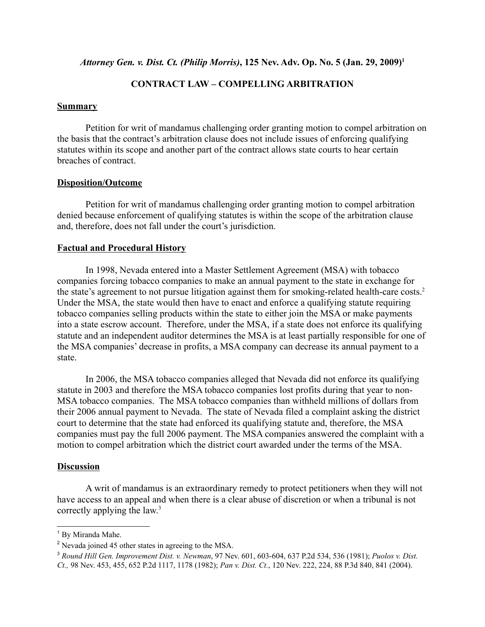*Attorney Gen. v. Dist. Ct. (Philip Morris)*, 125 Nev. Adv. Op. No. 5 (Jan. 29, 2009)<sup>1</sup>

#### **CONTRACT LAW – COMPELLING ARBITRATION**

#### **Summary**

Petition for writ of mandamus challenging order granting motion to compel arbitration on the basis that the contract's arbitration clause does not include issues of enforcing qualifying statutes within its scope and another part of the contract allows state courts to hear certain breaches of contract.

#### **Disposition/Outcome**

Petition for writ of mandamus challenging order granting motion to compel arbitration denied because enforcement of qualifying statutes is within the scope of the arbitration clause and, therefore, does not fall under the court's jurisdiction.

#### **Factual and Procedural History**

In 1998, Nevada entered into a Master Settlement Agreement (MSA) with tobacco companies forcing tobacco companies to make an annual payment to the state in exchange for the state's agreement to not pursue litigation against them for smoking-related health-care costs.2 Under the MSA, the state would then have to enact and enforce a qualifying statute requiring tobacco companies selling products within the state to either join the MSA or make payments into a state escrow account. Therefore, under the MSA, if a state does not enforce its qualifying statute and an independent auditor determines the MSA is at least partially responsible for one of the MSA companies' decrease in profits, a MSA company can decrease its annual payment to a state.

In 2006, the MSA tobacco companies alleged that Nevada did not enforce its qualifying statute in 2003 and therefore the MSA tobacco companies lost profits during that year to non-MSA tobacco companies. The MSA tobacco companies than withheld millions of dollars from their 2006 annual payment to Nevada. The state of Nevada filed a complaint asking the district court to determine that the state had enforced its qualifying statute and, therefore, the MSA companies must pay the full 2006 payment. The MSA companies answered the complaint with a motion to compel arbitration which the district court awarded under the terms of the MSA.

#### **Discussion**

A writ of mandamus is an extraordinary remedy to protect petitioners when they will not have access to an appeal and when there is a clear abuse of discretion or when a tribunal is not correctly applying the law.<sup>3</sup>

<sup>&</sup>lt;sup>1</sup> By Miranda Mahe.

<sup>&</sup>lt;sup>2</sup> Nevada joined 45 other states in agreeing to the MSA.

<sup>3</sup> *Round Hill Gen. Improvement Dist. v. Newman*, 97 Nev. 601, 603-604, 637 P.2d 534, 536 (1981); *Puolos v. Dist. Ct.,* 98 Nev. 453, 455, 652 P.2d 1117, 1178 (1982); *Pan v. Dist. Ct.*, 120 Nev. 222, 224, 88 P.3d 840, 841 (2004).